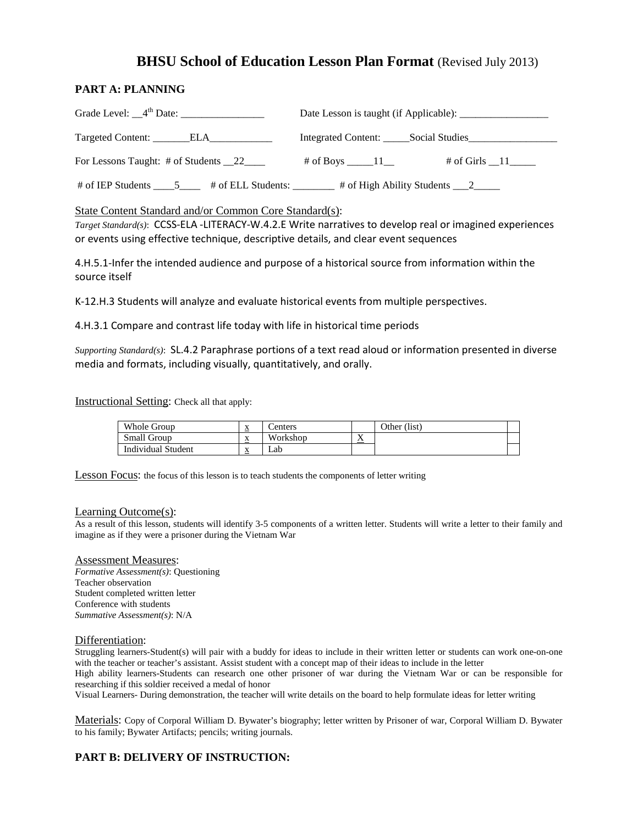# **BHSU School of Education Lesson Plan Format** (Revised July 2013)

### **PART A: PLANNING**

| Targeted Content: _______ELA____________ | Integrated Content: Social Studies |  |  |  |
|------------------------------------------|------------------------------------|--|--|--|
| For Lessons Taught: # of Students 22     | # of Girls $\_\$ 11                |  |  |  |
|                                          |                                    |  |  |  |

### State Content Standard and/or Common Core Standard(s):

 *Target Standard(s)*: CCSS-ELA -LITERACY-W.4.2.E Write narratives to develop real or imagined experiences or events using effective technique, descriptive details, and clear event sequences

 4.H.5.1-Infer the intended audience and purpose of a historical source from information within the source itself

K-12.H.3 Students will analyze and evaluate historical events from multiple perspectives.

4.H.3.1 Compare and contrast life today with life in historical time periods

 *Supporting Standard(s)*: SL.4.2 Paraphrase portions of a text read aloud or information presented in diverse media and formats, including visually, quantitatively, and orally.

Instructional Setting: Check all that apply:

| Whole Group               | ≏                   | `enters  |                          | Other (list) |  |
|---------------------------|---------------------|----------|--------------------------|--------------|--|
| Small Group               | $\Delta$            | Workshop | $\mathbf{r}$<br>$\Delta$ |              |  |
| <b>Individual Student</b> | $\Lambda$<br>$\sim$ | ∟ab      |                          |              |  |

Lesson Focus: the focus of this lesson is to teach students the components of letter writing

#### Learning Outcome(s):

 As a result of this lesson, students will identify 3-5 components of a written letter. Students will write a letter to their family and imagine as if they were a prisoner during the Vietnam War

#### Assessment Measures:

*Formative Assessment(s)*: Questioning Teacher observation Student completed written letter Conference with students *Summative Assessment(s)*: N/A

#### Differentiation:

Struggling learners-Student(s) will pair with a buddy for ideas to include in their written letter or students can work one-on-one with the teacher or teacher's assistant. Assist student with a concept map of their ideas to include in the letter

 High ability learners-Students can research one other prisoner of war during the Vietnam War or can be responsible for researching if this soldier received a medal of honor

Visual Learners- During demonstration, the teacher will write details on the board to help formulate ideas for letter writing

 to his family; Bywater Artifacts; pencils; writing journals. Materials: Copy of Corporal William D. Bywater's biography; letter written by Prisoner of war, Corporal William D. Bywater

### **PART B: DELIVERY OF INSTRUCTION:**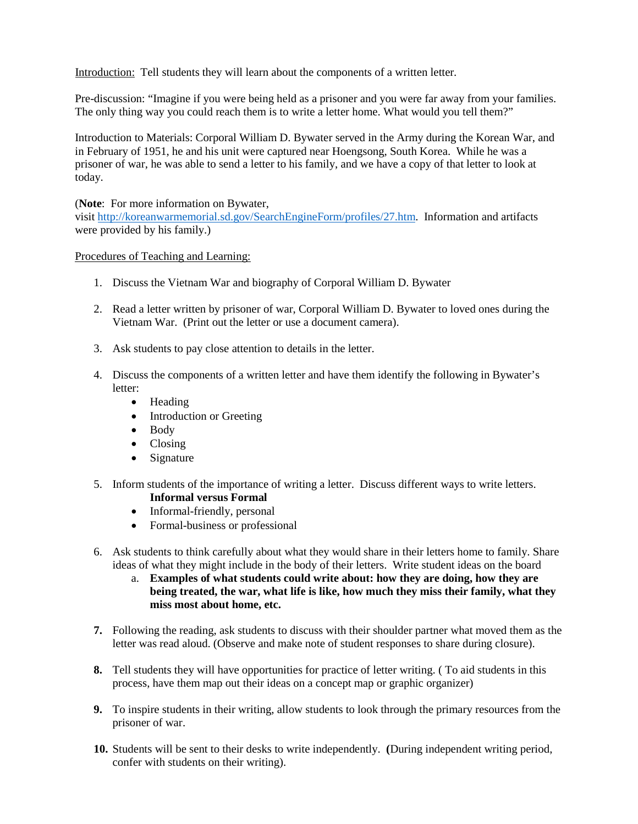Introduction: Tell students they will learn about the components of a written letter.

 The only thing way you could reach them is to write a letter home. What would you tell them?" Pre-discussion: "Imagine if you were being held as a prisoner and you were far away from your families.

 in February of 1951, he and his unit were captured near Hoengsong, South Korea. While he was a prisoner of war, he was able to send a letter to his family, and we have a copy of that letter to look at Introduction to Materials: Corporal William D. Bywater served in the Army during the Korean War, and today.

(**Note**: For more information on Bywater,

visi[t http://koreanwarmemorial.sd.gov/SearchEngineForm/profiles/27.htm.](http://koreanwarmemorial.sd.gov/SearchEngineForm/profiles/27.htm) Information and artifacts were provided by his family.)

### Procedures of Teaching and Learning:

- 1. Discuss the Vietnam War and biography of Corporal William D. Bywater
- 2. Read a letter written by prisoner of war, Corporal William D. Bywater to loved ones during the Vietnam War. (Print out the letter or use a document camera).
- 3. Ask students to pay close attention to details in the letter.
- 4. Discuss the components of a written letter and have them identify the following in Bywater's letter:
	- Heading
	- Introduction or Greeting
	- Body
	- Closing
	- Signature
- 5. Inform students of the importance of writing a letter. Discuss different ways to write letters. **Informal versus Formal** 
	- Informal-friendly, personal
	- Formal-business or professional
- ideas of what they might include in the body of their letters. Write student ideas on the board 6. Ask students to think carefully about what they would share in their letters home to family. Share
	- a. **Examples of what students could write about: how they are doing, how they are being treated, the war, what life is like, how much they miss their family, what they miss most about home, etc.**
- **7.** Following the reading, ask students to discuss with their shoulder partner what moved them as the letter was read aloud. (Observe and make note of student responses to share during closure).
- **8.** Tell students they will have opportunities for practice of letter writing. ( To aid students in this process, have them map out their ideas on a concept map or graphic organizer)
- **9.** To inspire students in their writing, allow students to look through the primary resources from the prisoner of war.
- **10.** Students will be sent to their desks to write independently. **(**During independent writing period, confer with students on their writing).